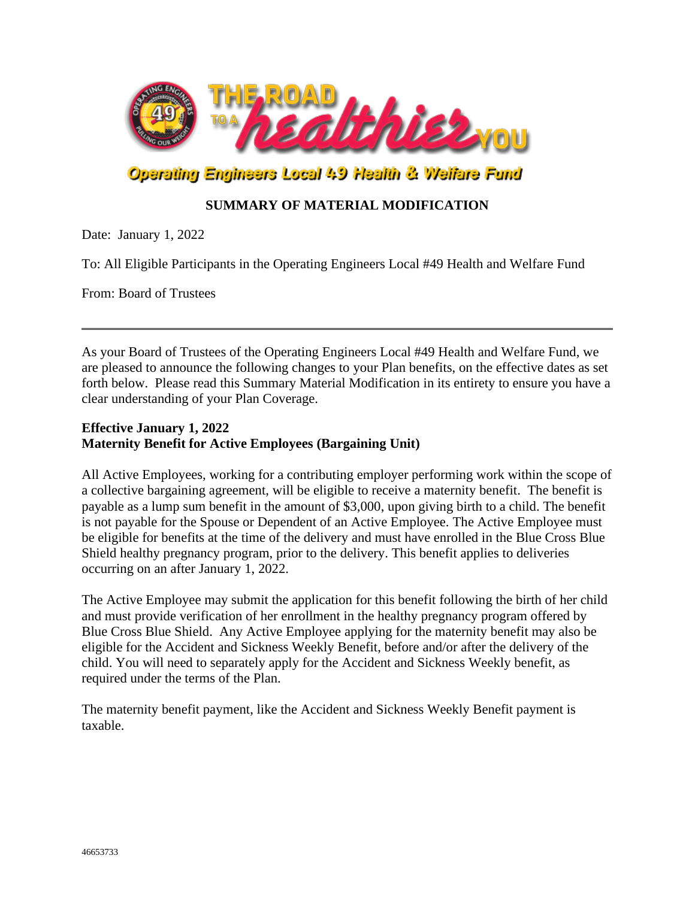

# Operating Engineers Local 49 Health & Welfare Fund

## **SUMMARY OF MATERIAL MODIFICATION**

Date: January 1, 2022

To: All Eligible Participants in the Operating Engineers Local #49 Health and Welfare Fund

From: Board of Trustees

As your Board of Trustees of the Operating Engineers Local #49 Health and Welfare Fund, we are pleased to announce the following changes to your Plan benefits, on the effective dates as set forth below. Please read this Summary Material Modification in its entirety to ensure you have a clear understanding of your Plan Coverage.

#### **Effective January 1, 2022 Maternity Benefit for Active Employees (Bargaining Unit)**

All Active Employees, working for a contributing employer performing work within the scope of a collective bargaining agreement, will be eligible to receive a maternity benefit. The benefit is payable as a lump sum benefit in the amount of \$3,000, upon giving birth to a child. The benefit is not payable for the Spouse or Dependent of an Active Employee. The Active Employee must be eligible for benefits at the time of the delivery and must have enrolled in the Blue Cross Blue Shield healthy pregnancy program, prior to the delivery. This benefit applies to deliveries occurring on an after January 1, 2022.

The Active Employee may submit the application for this benefit following the birth of her child and must provide verification of her enrollment in the healthy pregnancy program offered by Blue Cross Blue Shield. Any Active Employee applying for the maternity benefit may also be eligible for the Accident and Sickness Weekly Benefit, before and/or after the delivery of the child. You will need to separately apply for the Accident and Sickness Weekly benefit, as required under the terms of the Plan.

The maternity benefit payment, like the Accident and Sickness Weekly Benefit payment is taxable.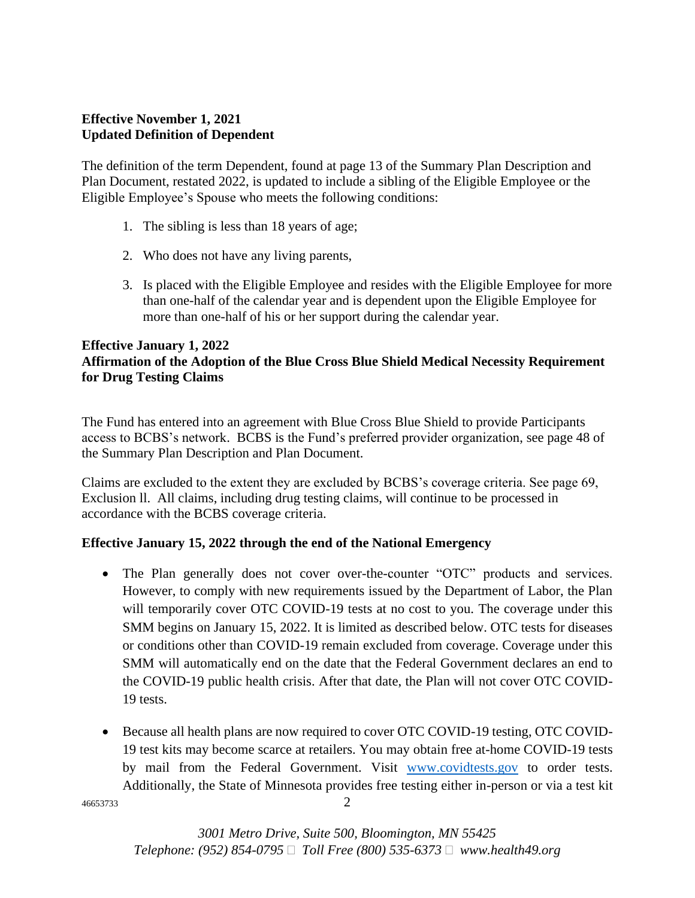### **Effective November 1, 2021 Updated Definition of Dependent**

The definition of the term Dependent, found at page 13 of the Summary Plan Description and Plan Document, restated 2022, is updated to include a sibling of the Eligible Employee or the Eligible Employee's Spouse who meets the following conditions:

- 1. The sibling is less than 18 years of age;
- 2. Who does not have any living parents,
- 3. Is placed with the Eligible Employee and resides with the Eligible Employee for more than one-half of the calendar year and is dependent upon the Eligible Employee for more than one-half of his or her support during the calendar year.

### **Effective January 1, 2022 Affirmation of the Adoption of the Blue Cross Blue Shield Medical Necessity Requirement for Drug Testing Claims**

The Fund has entered into an agreement with Blue Cross Blue Shield to provide Participants access to BCBS's network. BCBS is the Fund's preferred provider organization, see page 48 of the Summary Plan Description and Plan Document.

Claims are excluded to the extent they are excluded by BCBS's coverage criteria. See page 69, Exclusion ll. All claims, including drug testing claims, will continue to be processed in accordance with the BCBS coverage criteria.

### **Effective January 15, 2022 through the end of the National Emergency**

- The Plan generally does not cover over-the-counter "OTC" products and services. However, to comply with new requirements issued by the Department of Labor, the Plan will temporarily cover OTC COVID-19 tests at no cost to you. The coverage under this SMM begins on January 15, 2022. It is limited as described below. OTC tests for diseases or conditions other than COVID-19 remain excluded from coverage. Coverage under this SMM will automatically end on the date that the Federal Government declares an end to the COVID-19 public health crisis. After that date, the Plan will not cover OTC COVID-19 tests.
- <sup>46653733</sup> 2 • Because all health plans are now required to cover OTC COVID-19 testing, OTC COVID-19 test kits may become scarce at retailers. You may obtain free at-home COVID-19 tests by mail from the Federal Government. Visit [www.covidtests.gov](http://www.covidtests.gov/) to order tests. Additionally, the State of Minnesota provides free testing either in-person or via a test kit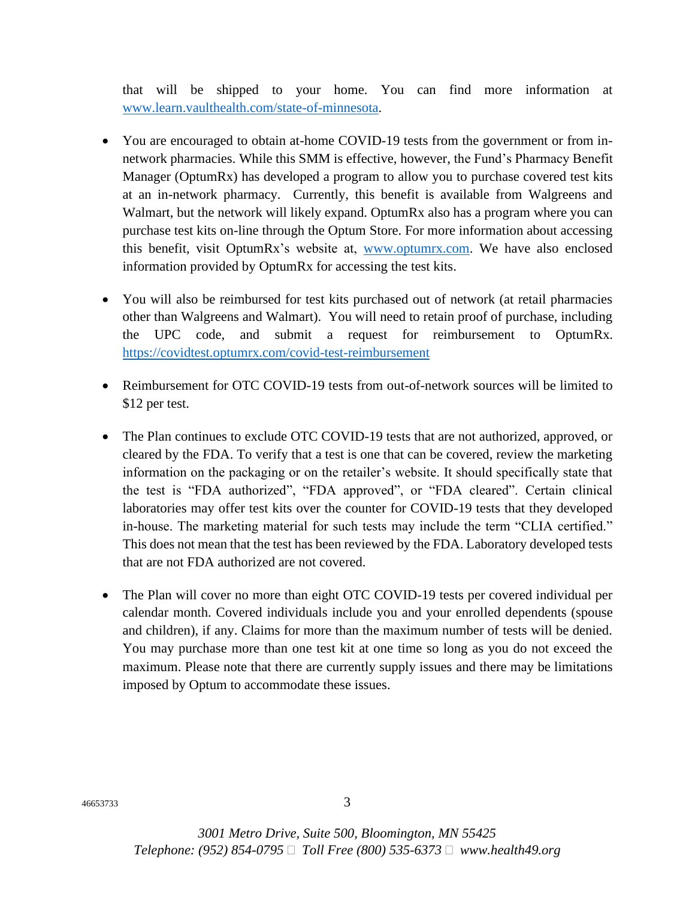that will be shipped to your home. You can find more information at [www.learn.vaulthealth.com/state-of-minnesota.](http://www.learn.vaulthealth.com/state-of-minnesota)

- You are encouraged to obtain at-home COVID-19 tests from the government or from innetwork pharmacies. While this SMM is effective, however, the Fund's Pharmacy Benefit Manager (OptumRx) has developed a program to allow you to purchase covered test kits at an in-network pharmacy. Currently, this benefit is available from Walgreens and Walmart, but the network will likely expand. OptumRx also has a program where you can purchase test kits on-line through the Optum Store. For more information about accessing this benefit, visit OptumRx's website at, [www.optumrx.com.](http://www.optumrx.com/) We have also enclosed information provided by OptumRx for accessing the test kits.
- You will also be reimbursed for test kits purchased out of network (at retail pharmacies other than Walgreens and Walmart). You will need to retain proof of purchase, including the UPC code, and submit a request for reimbursement to OptumRx. <https://covidtest.optumrx.com/covid-test-reimbursement>
- Reimbursement for OTC COVID-19 tests from out-of-network sources will be limited to \$12 per test.
- The Plan continues to exclude OTC COVID-19 tests that are not authorized, approved, or cleared by the FDA. To verify that a test is one that can be covered, review the marketing information on the packaging or on the retailer's website. It should specifically state that the test is "FDA authorized", "FDA approved", or "FDA cleared". Certain clinical laboratories may offer test kits over the counter for COVID-19 tests that they developed in-house. The marketing material for such tests may include the term "CLIA certified." This does not mean that the test has been reviewed by the FDA. Laboratory developed tests that are not FDA authorized are not covered.
- The Plan will cover no more than eight OTC COVID-19 tests per covered individual per calendar month. Covered individuals include you and your enrolled dependents (spouse and children), if any. Claims for more than the maximum number of tests will be denied. You may purchase more than one test kit at one time so long as you do not exceed the maximum. Please note that there are currently supply issues and there may be limitations imposed by Optum to accommodate these issues.

<sup>46653733</sup> 3

*3001 Metro Drive, Suite 500, Bloomington, MN 55425 Telephone: (952) 854-0795 Toll Free (800) 535-6373 www.health49.org*